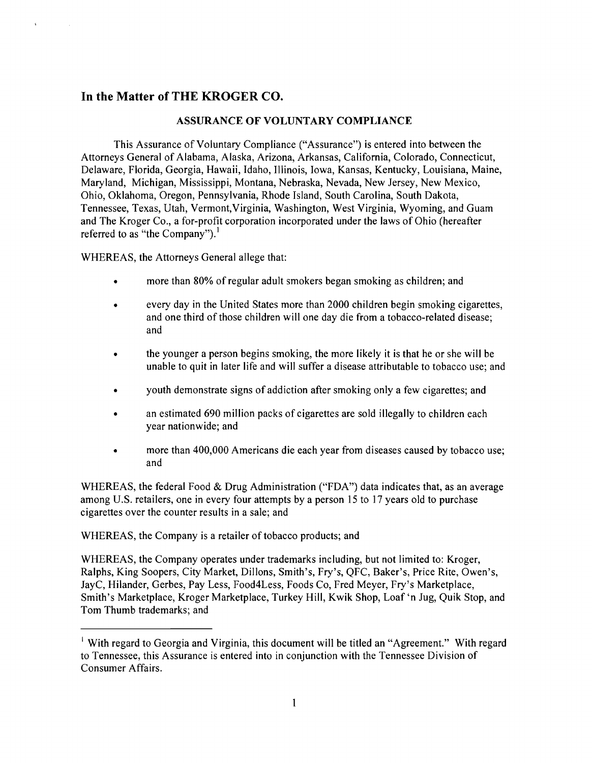# **In** the Matter of THE KROGER CO.

### ASSURANCE OF VOLUNTARY COMPLIANCE

This Assurance of Voluntary Compliance ("Assurance") is entered into between the Attorneys General of Alabama, Alaska, Arizona, Arkansas, California, Colorado, Connecticut, Delaware, Florida, Georgia, Hawaii, Idaho, Illinois, Iowa, Kansas, Kentucky, Louisiana, Maine, Maryland, Michigan, Mississippi, Montana, Nebraska, Nevada, New Jersey, New Mexico, Ohio, Oklahoma, Oregon, Pennsylvania, Rhode Island, South Carolina, South Dakota, Tennessee, Texas, Utah, Vermont,Virginia, Washington, West Virginia, Wyoming, and Guam and The Kroger Co., a for-profit corporation incorporated under the laws of Ohio (hereafter referred to as "the Company").<sup>1</sup>

WHEREAS, the Attorneys General allege that:

- more than 80% of regular adult smokers began smoking as children; and
- every day in the United States more than 2000 children begin smoking cigarettes, and one third of those children will one day die from a tobacco-related disease; and
- the younger a person begins smoking, the more likely it is that he or she will be unable to quit in later life and will suffer a disease attributable to tobacco use; and
- youth demonstrate signs of addiction after smoking only a few cigarettes; and
- an estimated 690 million packs of cigarettes are sold illegally to children each year nationwide; and
- more than 400,000 Americans die each year from diseases caused by tobacco use; and

WHEREAS, the federal Food & Drug Administration ("FDA") data indicates that, as an average among U.S. retailers, one in every four attempts by a person 15 to 17 years old to purchase cigarettes over the counter results in a sale; and

WHEREAS, the Company is a retailer of tobacco products; and

WHEREAS, the Company operates under trademarks including, but not limited to: Kroger, Ralphs, King Soopers, City Market, Dillons, Smith's, Fry's, QFC, Baker's, Price Rite, Owen's, JayC, Hilander, Gerbes, Pay Less, Food4Less, Foods Co, Fred Meyer, Fry's Marketplace, Smith's Marketplace, Kroger Marketplace, Turkey Hill, Kwik Shop, Loaf 'n Jug, Quik Stop, and Tom Thumb trademarks; and

 $\frac{1}{2}$  With regard to Georgia and Virginia, this document will be titled an "Agreement." With regard to Tennessee, this Assurance is entered into in conjunction with the Tennessee Division of Consumer Affairs.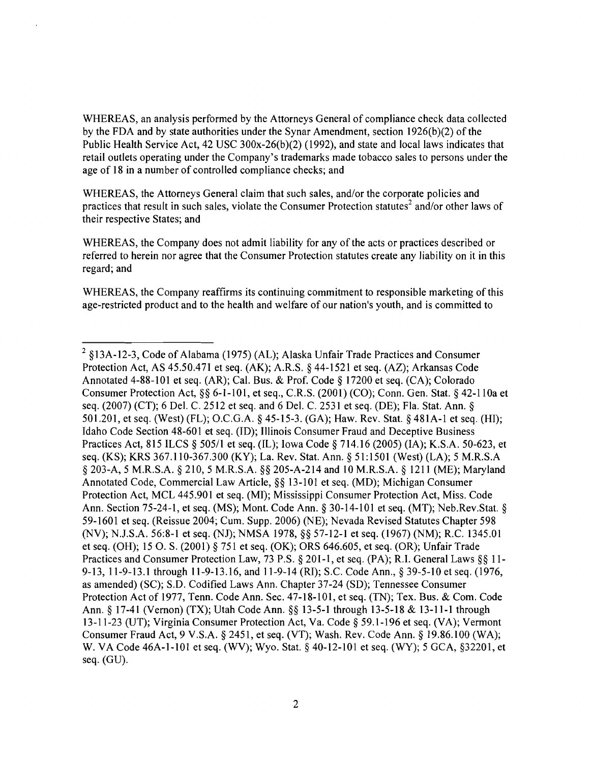WHEREAS, an analysis performed by the Attorneys General of compliance check data collected by the FDA and by state authorities under the Synar Amendment, section 1926(b)(2) of the Public Health Service Act, 42 USC 300x-26(b)(2) (1992), and state and local laws indicates that retail outlets operating under the Company's trademarks made tobacco sales to persons under the age of 18 in a number of controlled compliance checks; and

WHEREAS, the Attorneys General claim that such sales, and/or the corporate policies and practices that result in such sales, violate the Consumer Protection statutes<sup>2</sup> and/or other laws of their respective States; and

WHEREAS, the Company does not admit liability for any of the acts or practices described or referred to herein nor agree that the Consumer Protection statutes create any liability on it in this regard; and

WHEREAS, the Company reaffirms its continuing commitment to responsible marketing of this age-restricted product and to the health and welfare of our nation's youth, and is committed to

<sup>2 §13</sup>A-12-3, Code of Alabama (1975) (AL); Alaska Unfair Trade Practices and Consumer Protection Act, AS 45.50.471 et seq. (AK); A.R.S. § 44-1521 et seq. (AZ); Arkansas Code Annotated 4-88-101 et seq. (AR); Cal. Bus. & Prof. Code § 17200 et seq. (CA); Colorado Consumer Protection Act, §§ 6-1-101, et seq., C.R.S. (2001) (CO); Conn. Gen. Stat. § 42-110a et seq. (2007) (CT); 6 Del. C. 2512 et seq. and 6 Del. C. 2531 et seq. (DE); Fla. Stat. Ann. § 501.201, et seq. (West) (FL); O.C.G.A. § 45-15-3. (GA); Haw. Rev. Stat. § 481A-l et seq. (HI); Idaho Code Section 48-601 et seq. (lD); Illinois Consumer Fraud and Deceptive Business Practices Act, 815 ILCS § 505/1 et seq. (IL); Iowa Code § 714.16 (2005) (IA); K.S.A. 50-623, et seq. (KS); KRS 367.110-367.300 (KY); La. Rev. Stat. Ann. § 51:1501 (West) (LA); 5 M.R.S.A § 203-A, 5 M.R.S.A. § 210, 5 M.R.S.A. §§ 205-A-214 and 10 M.R.S.A. § 1211 (ME); Maryland Annotated Code, Commercial Law Article, §§ 13-101 et seq. (MD); Michigan Consumer Protection Act, MCL 445.901 et seq. (MI); Mississippi Consumer Protection Act, Miss. Code Ann. Section 75-24-1, et seq. (MS); Mont. Code Ann. § 30-14-101 et seq. (MT); Neb.Rev.Stat. § 59-1601 et seq. (Reissue 2004; Cum. Supp. 2006) (NE); Nevada Revised Statutes Chapter 598 (NV); NJ.S.A. 56:8-1 et seq. (NJ); NMSA 1978, §§ 57-12-1 et seq. (1967) (NM); R.C. 1345.01 et seq. (OH); 15 O. S. (2001) § 751 et seq. (OK); DRS 646.605, et seq. (OR); Unfair Trade Practices and Consumer Protection Law, 73 P.S. § 201-1, et seq. (PA); R.I. General Laws §§ 11-9-13, 11-9-13.1 through 11-9-13.16, and 11-9-14 (RI); S.C. Code Ann., § 39-5-10 et seq. (1976, as amended) (SC); S.D. Codified Laws Ann. Chapter 37-24 (SD); Tennessee Consumer Protection Act of 1977, Tenn. Code Ann. Sec. 47-18-101, et seq. (TN); Tex. Bus. & Com. Code Ann. § 17-41 (Vernon) (TX); Utah Code Ann. §§ 13-5-1 through 13-5-18 & 13-11-1 through 13-11-23 (UT); Virginia Consumer Protection Act, Va. Code § 59.1-196 et seq. (VA); Vermont Consumer Fraud Act, 9 V.S.A. § 2451, et seq. (VT); Wash. Rev. Code Ann. § 19.86.100 (WA); W. VA Code 46A-I-I01 et seq. (WV); Wyo. Stat. § 40-12-101 et seq. (WY); 5 GCA, §32201, et seq. (GU).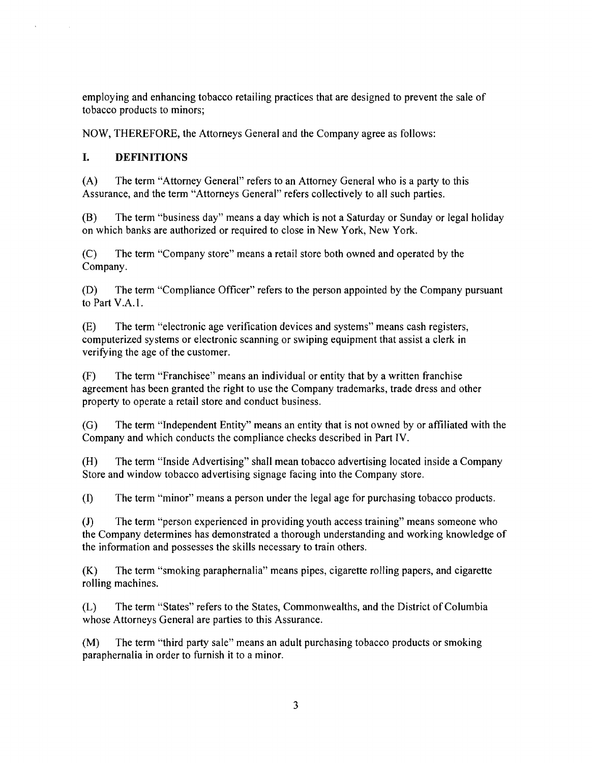employing and enhancing tobacco retailing practices that are designed to prevent the sale of tobacco products to minors;

NOW, THEREFORE, the Attorneys General and the Company agree as follows:

## **I. DEFINITIONS**

(A) The term "Attorney General" refers to an Attorney General who is a party to this Assurance, and the term "Attorneys General" refers collectively to all such parties.

(B) The term "business day" means a day which is not a Saturday or Sunday or legal holiday on which banks are authorized or required to close in New York, New York.

(C) The term "Company store" means a retail store both owned and operated by the Company.

(D) The term "Compliance Officer" refers to the person appointed by the Company pursuant to Part V.A.I.

(E) The term "electronic age verification devices and systems" means cash registers, computerized systems or electronic scanning or swiping equipment that assist a clerk in verifying the age of the customer.

(F) The term "Franchisee" means an individual or entity that by a written franchise agreement has been granted the right to use the Company trademarks, trade dress and other property to operate a retail store and conduct business.

(G) The term "Independent Entity" means an entity that is not owned by or affiliated with the Company and which conducts the compliance checks described in Part IV.

(H) The term "Inside Advertising" shall mean tobacco advertising located inside a Company Store and window tobacco advertising signage facing into the Company store.

(I) The term "minor" means a person under the legal age for purchasing tobacco products.

(J) The term "person experienced in providing youth access training" means someone who the Company determines has demonstrated a thorough understanding and working knowledge of the information and possesses the skills necessary to train others.

(K) The term "smoking paraphernalia" means pipes, cigarette rolling papers, and cigarette rolling machines.

(L) The term "States" refers to the States, Commonwealths, and the District of Columbia whose Attorneys General are parties to this Assurance.

(M) The term "third party sale" means an adult purchasing tobacco products or smoking paraphernalia in order to furnish it to a minor.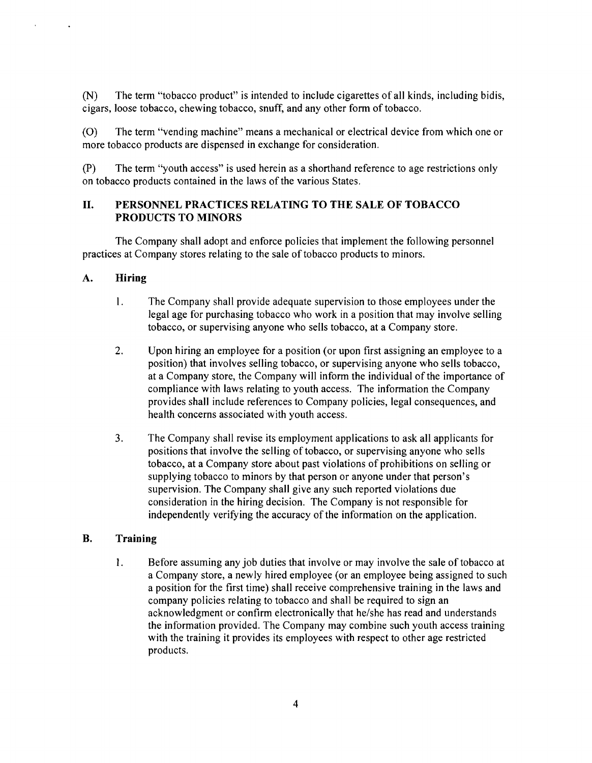(N) The term "tobacco product" is intended to include cigarettes of all kinds, including bidis, cigars, loose tobacco, chewing tobacco, snuff, and any other fonn of tobacco.

(0) The term "vending machine" means a mechanical or electrical device from which one or more tobacco products are dispensed in exchange for consideration.

(P) The tenn "youth access" is used herein as a shorthand reference to age restrictions only on tobacco products contained in the laws of the various States.

## II. PERSONNEL PRACTICES RELATING TO THE SALE OF TOBACCO PRODUCTS TO MINORS

The Company shall adopt and enforce policies that implement the following personnel practices at Company stores relating to the sale of tobacco products to minors.

# A. Hiring

- 1. The Company shall provide adequate supervision to those employees under the legal age for purchasing tobacco who work in a position that may involve selling tobacco, or supervising anyone who sells tobacco, at a Company store.
- 2. Upon hiring an employee for a position (or upon first assigning an employee to a position) that involves selling tobacco, or supervising anyone who sells tobacco, at a Company store, the Company will inform the individual of the importance of compliance with laws relating to youth access. The information the Company provides shall include references to Company policies, legal consequences, and health concerns associated with youth access.
- 3. The Company shall revise its employment applications to ask all applicants for positions that involve the selling of tobacco, or supervising anyone who sells tobacco, at a Company store about past violations of prohibitions on selling or supplying tobacco to minors by that person or anyone under that person's supervision. The Company shall give any such reported violations due consideration in the hiring decision. The Company is not responsible for independently verifying the accuracy of the information on the application.

### B. Training

1. Before assuming any job duties that involve or may involve the sale of tobacco at a Company store, a newly hired employee (or an employee being assigned to such a position for the first time) shall receive comprehensive training in the laws and company policies relating to tobacco and shall be required to sign an acknowledgment or confirm electronically that he/she has read and understands the information provided. The Company may combine such youth access training with the training it provides its employees with respect to other age restricted products.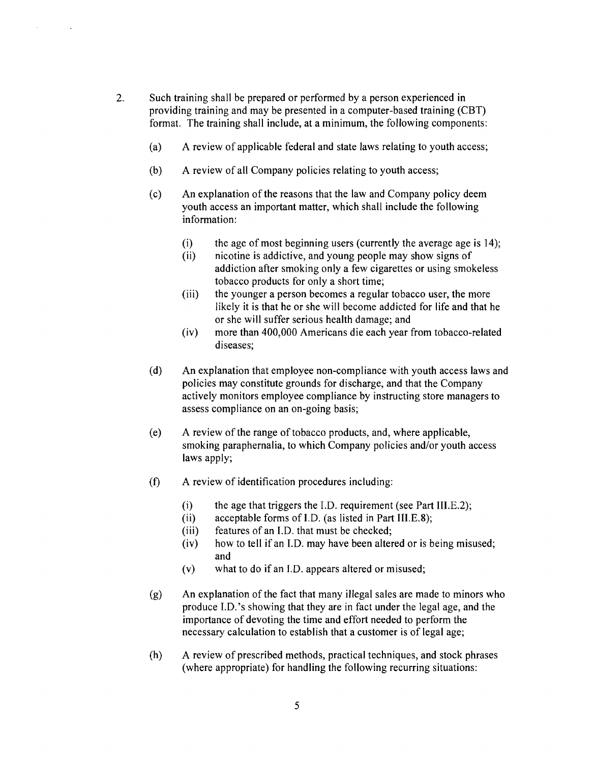- 2. Such training shall be prepared or performed by a person experienced in providing training and may be presented in a computer-based training (CBT) format. The training shall include, at a minimum, the following components:
	- (a) A review of applicable federal and state laws relating to youth access;
	- (b) A review of all Company policies relating to youth access;
	- (c) An explanation of the reasons that the law and Company policy deem youth access an important matter, which shall include the following information:
		- (i) the age of most beginning users (currently the average age is  $14$ );
		- (ii) nicotine is addictive, and young people may show signs of addiction after smoking only a few cigarettes or using smokeless tobacco products for only a short time;
		- (iii) the younger a person becomes a regular tobacco user, the more likely it is that he or she will become addicted for life and that he or she will suffer serious health damage; and
		- (iv) more than 400,000 Americans die each year from tobacco-related diseases;
	- (d) An explanation that employee non-compliance with youth access laws and policies may constitute grounds for discharge, and that the Company actively monitors employee compliance by instructing store managers to assess compliance on an on-going basis;
	- (e) A review of the range of tobacco products, and, where applicable, smoking paraphernalia, to which Company policies and/or youth access laws apply;
	- (f) A review of identification procedures including:
		- (i) the age that triggers the I.D. requirement (see Part III.E.2);
		- (ii) acceptable forms of I.D. (as listed in Part III.E.8);
		- (iii) features of an I.D. that must be checked;
		- (iv) how to tell if an J.D. may have been altered or is being misused; and
		- (v) what to do if an I.D. appears altered or misused;
	- (g) An explanation of the fact that many illegal sales are made to minors who produce J.D. 's showing that they are in fact under the legal age, and the importance of devoting the time and effort needed to perform the necessary calculation to establish that a customer is of legal age;
	- (h) A review of prescribed methods, practical techniques, and stock phrases (where appropriate) for handling the following recurring situations: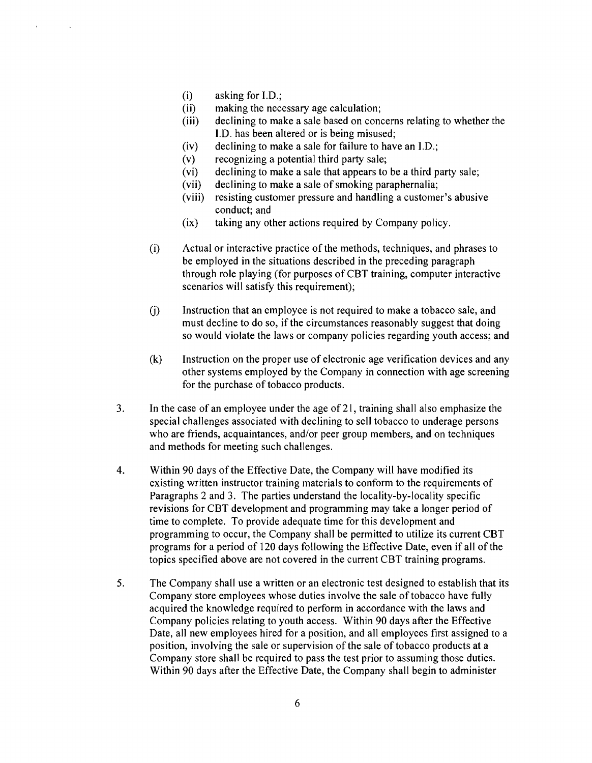- $(i)$  asking for I.D.;
- (ii) making the necessary age calculation;
- (iii) declining to make a sale based on concerns relating to whether the LD. has been altered or is being misused;
- $(iv)$  declining to make a sale for failure to have an I.D.;
- (v) recognizing a potential third party sale;
- (vi) declining to make a sale that appears to be a third party sale;
- (vii) declining to make a sale of smoking paraphernalia;
- (viii) resisting customer pressure and handling a customer's abusive conduct; and
- (ix) taking any other actions required by Company policy.
- (i) Actual or interactive practice of the methods, techniques, and phrases to be employed in the situations described in the preceding paragraph through role playing (for purposes of CBT training, computer interactive scenarios will satisfy this requirement);
- (j) Instruction that an employee is not required to make a tobacco sale, and must decline to do so, if the circumstances reasonably suggest that doing so would violate the laws or company policies regarding youth access; and
- (k) Instruction on the proper use of electronic age verification devices and any other systems employed by the Company in connection with age screening for the purchase of tobacco products.
- 3. **In** the case of an employee under the age of 21, training shall also emphasize the special challenges associated with declining to sell tobacco to underage persons who are friends, acquaintances, and/or peer group members, and on techniques and methods for meeting such challenges.
- 4. Within 90 days of the Effective Date, the Company will have modified its existing written instructor training materials to conform to the requirements of Paragraphs 2 and 3. The parties understand the locality-by-locality specific revisions for CBT development and programming may take a longer period of time to complete. To provide adequate time for this development and programming to occur, the Company shall be permitted to utilize its current CBT programs for a period of 120 days following the Effective Date, even if all of the topics specified above are not covered in the current CBT training programs.
- 5. The Company shall use a written or an electronic test designed to establish that its Company store employees whose duties involve the sale of tobacco have fully acquired the knowledge required to perform in accordance with the laws and Company policies relating to youth access. Within 90 days after the Effective Date, all new employees hired for a position, and all employees first assigned to a position, involving the sale or supervision of the sale of tobacco products at a Company store shall be required to pass the test prior to assuming those duties. Within 90 days after the Effective Date, the Company shall begin to administer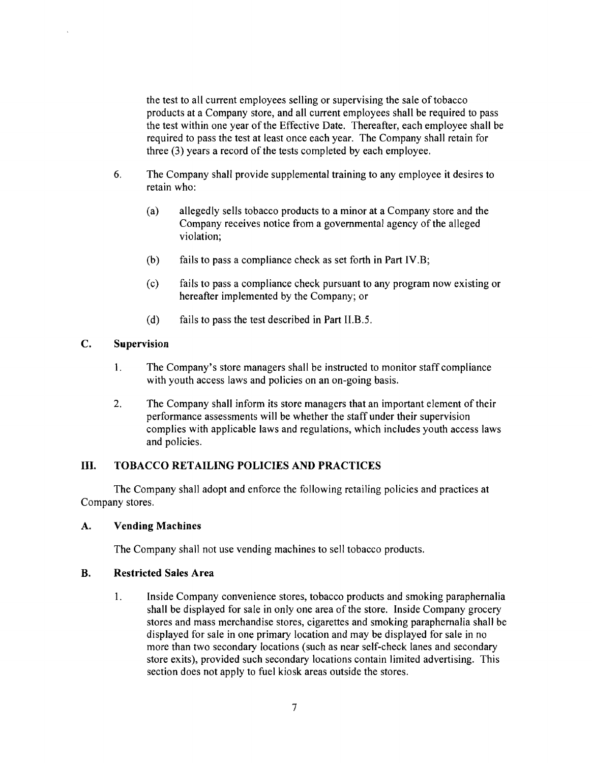the test to all current employees selling or supervising the sale of tobacco products at a Company store, and all current employees shall be required to pass the test within one year of the Effective Date. Thereafter, each employee shall be required to pass the test at least once each year. The Company shall retain for three  $(3)$  years a record of the tests completed by each employee.

- 6. The Company shall provide supplemental training to any employee it desires to retain who:
	- (a) allegedly sells tobacco products to a minor at a Company store and the Company receives notice from a governmental agency of the alleged violation;
	- (b) fails to pass a compliance check as set forth in Part IV.B;
	- (c) fails to pass a compliance check pursuant to any program now existing or hereafter implemented by the Company; or
	- (d) fails to pass the test described in Part II.B.5.

### C. Supervision

- 1. The Company's store managers shall be instructed to monitor staff compliance with youth access laws and policies on an on-going basis.
- 2. The Company shall inform its store managers that an important element of their performance assessments will be whether the staff under their supervision complies with applicable laws and regulations, which includes youth access laws and policies.

# III. TOBACCO RETAILING POLICIES AND PRACTICES

The Company shall adopt and enforce the following retailing policies and practices at Company stores.

### A. Vending Machines

The Company shall not use vending machines to sell tobacco products.

### **B.** Restricted Sales Area

1. Inside Company convenience stores, tobacco products and smoking paraphernalia shall be displayed for sale in only one area of the store. Inside Company grocery stores and mass merchandise stores, cigarettes and smoking paraphernalia shall be displayed for sale in one primary location and may be displayed for sale in no more than two secondary locations (such as near self-check lanes and secondary store exits), provided such secondary locations contain limited advertising. This section does not apply to fuel kiosk areas outside the stores.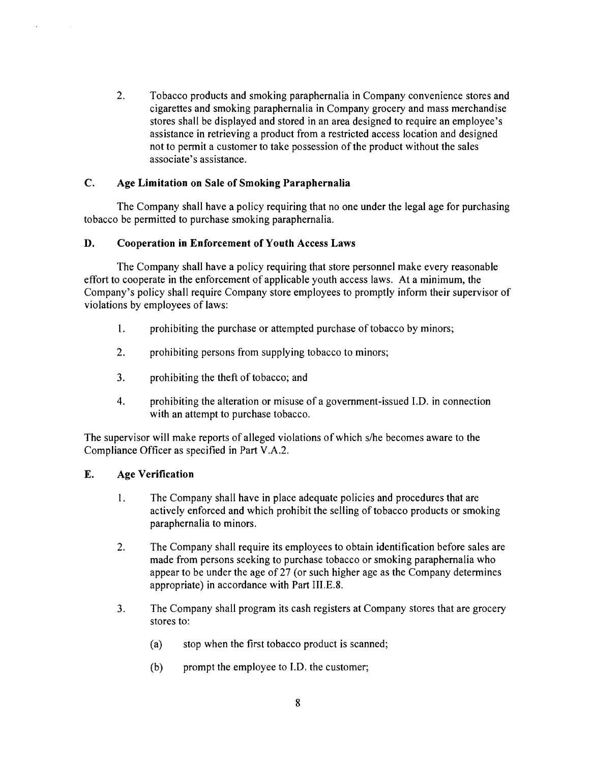2. Tobacco products and smoking paraphernalia in Company convenience stores and cigarettes and smoking paraphernalia in Company grocery and mass merchandise stores shall be displayed and stored in an area designed to require an employee's assistance in retrieving a product from a restricted access location and designed not to permit a customer to take possession of the product without the sales associate's assistance.

## C. Age Limitation on Sale of Smoking Paraphernalia

The Company shall have a policy requiring that no one under the legal age for purchasing tobacco be permitted to purchase smoking paraphernalia.

### D. Cooperation in Enforcement of Youth Access Laws

The Company shall have a policy requiring that store personnel make every reasonable effort to cooperate in the enforcement of applicable youth access laws. At a minimum, the Company's policy shall require Company store employees to promptly inform their supervisor of violations by employees of laws:

- 1. prohibiting the purchase or attempted purchase of tobacco by minors;
- 2. prohibiting persons from supplying tobacco to minors;
- 3. prohibiting the theft of tobacco; and
- 4. prohibiting the alteration or misuse of a government-issued J.D. in connection with an attempt to purchase tobacco.

The supervisor will make reports of alleged violations of which s/he becomes aware to the Compliance Officer as specified in Part V.A.2.

### E. Age Verification

- 1. The Company shall have in place adequate policies and procedures that are actively enforced and which prohibit the selling of tobacco products or smoking paraphernalia to minors.
- 2. The Company shall require its employees to obtain identification before sales are made from persons seeking to purchase tobacco or smoking paraphernalia who appear to be under the age of  $27$  (or such higher age as the Company determines appropriate) in accordance with Part III.E.8.
- 3. The Company shall program its cash registers at Company stores that are grocery stores to:
	- (a) stop when the first tobacco product is scanned;
	- (b) prompt the employee to I.D. the customer;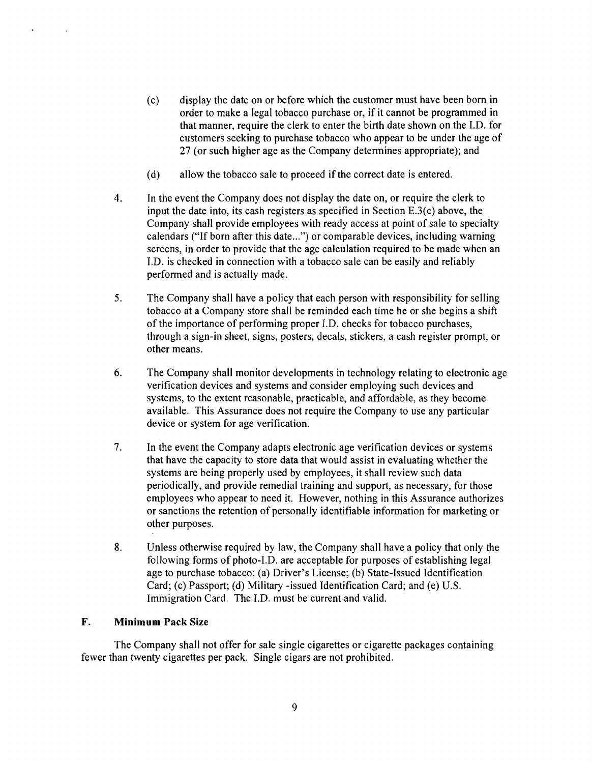- (c) display the date on or before which the customer must have been born in order to make a legal tobacco purchase or, if it cannot be programmed in that manner, require the clerk to enter the birth date shown on the I.D. for customers seeking to purchase tobacco who appear to be under the age of 27 (or such higher age as the Company determines appropriate); and
- (d) allow the tobacco sale to proceed if the correct date is entered.
- 4. In the event the Company does not display the date on, or require the clerk to input the date into, its cash registers as specified in Section E.3(c) above, the Company shall provide employees with ready access at point of sale to specialty calendars ("If born after this date...") or comparable devices, including warning screens, in order to provide that the age calculation required to be made when an I.D. is checked in connection with a tobacco sale can be easily and reliably performed and is actually made.
- 5. The Company shall have a policy that each person with responsibility for selling tobacco at a Company store shall be reminded each time he or she begins a shift of the importance of performing proper I.D. checks for tobacco purchases, through a sign-in sheet, signs, posters, decals, stickers, a cash register prompt, or other means.
- 6. The Company shall monitor developments in technology relating to electronic age verification devices and systems and consider employing such devices and systems, to the extent reasonable, practicable, and affordable, as they become available. This Assurance does not require the Company to use any particular device or system for age verification.
- 7. In the event the Company adapts electronic age verification devices or systems that have the capacity to store data that would assist in evaluating whether the systems are being properly used by employees, it shall review such data periodically, and provide remedial training and support, as necessary, for those employees who appear to need it. However, nothing in this Assurance authorizes or sanctions the retention of personally identifiable information for marketing or other purposes.
- 8. Unless otherwise required by law, the Company shall have a policy that only the following forms of photo-I.D. are acceptable for purposes of establishing legal age to purchase tobacco: (a) Driver's License; (b) State-Issued Identification Card; (c) Passport; (d) Military -issued Identification Card; and (e) U.S. Immigration Card. The I.D. must be current and valid.

### F. **Minimum** Pack Size

The Company shall not offer for sale single cigarettes or cigarette packages containing fewer than twenty cigarettes per pack. Single cigars are not prohibited.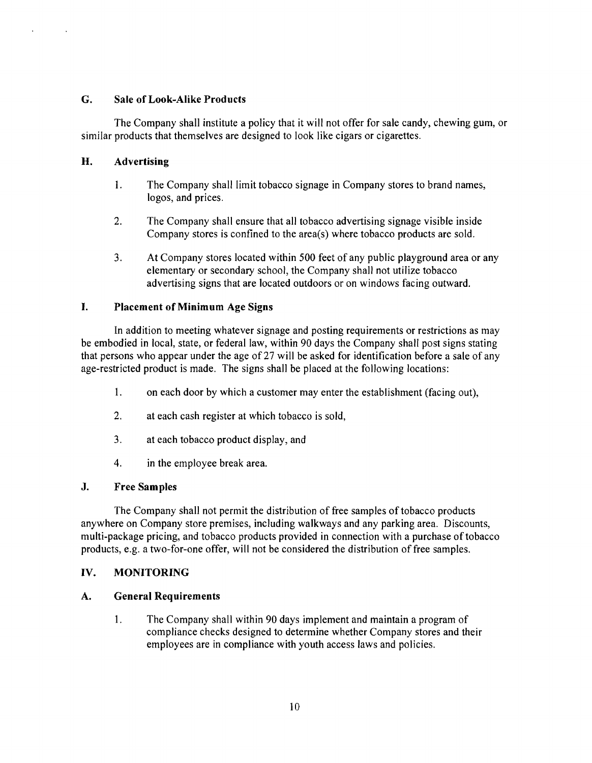### G. Sale of Look-Alike Products

The Company shall institute a policy that it will not offer for sale candy, chewing gum, or similar products that themselves are designed to look like cigars or cigarettes.

## H. Advertising

- 1. The Company shall limit tobacco signage in Company stores to brand names, logos, and prices.
- 2. The Company shall ensure that all tobacco advertising signage visible inside Company stores is confined to the area(s) where tobacco products are sold.
- 3. At Company stores located within 500 feet of any public playground area or any elementary or secondary school, the Company shall not utilize tobacco advertising signs that are located outdoors or on windows facing outward.

### I. Placement of Minimum Age Signs

In addition to meeting whatever signage and posting requirements or restrictions as may be embodied in local, state, or federal law, within 90 days the Company shall post signs stating that persons who appear under the age of 27 will be asked for identification before a sale of any age-restricted product is made. The signs shall be placed at the following locations:

- 1. on each door by which a customer may enter the establishment (facing out),
- 2. at each cash register at which tobacco is sold,
- 3. at each tobacco product display, and
- 4. in the employee break area.

### J. Free Samples

The Company shall not permit the distribution of free samples of tobacco products anywhere on Company store premises, including walkways and any parking area. Discounts, multi-package pricing, and tobacco products provided in connection with a purchase of tobacco products, e.g. a two-for-one offer, will not be considered the distribution of free samples.

### IV. MONITORING

### A. General Requirements

1. The Company shall within 90 days implement and maintain a program of compliance checks designed to determine whether Company stores and their employees are in compliance with youth access laws and policies.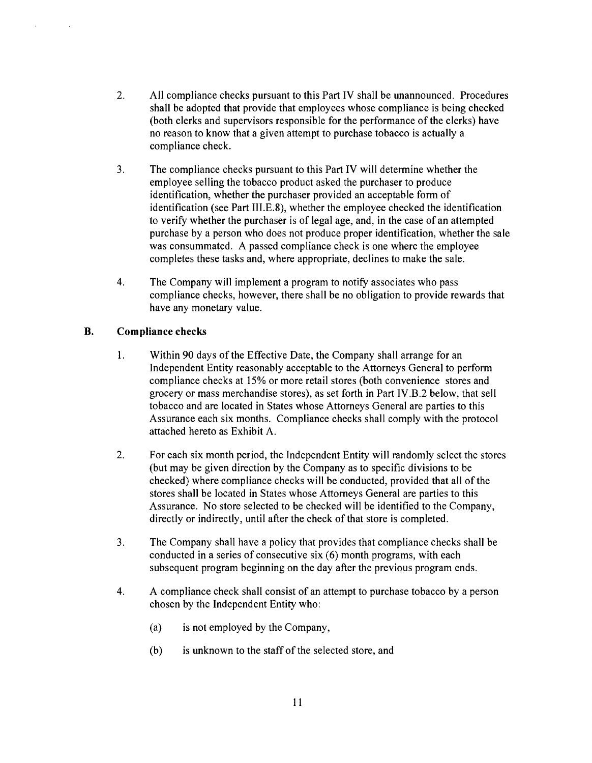- 2. All compliance checks pursuant to this Part IV shall be unannounced. Procedures shall be adopted that provide that employees whose compliance is being checked (both clerks and supervisors responsible for the performance of the clerks) have no reason to know that a given attempt to purchase tobacco is actually a compliance check.
- 3. The compliance checks pursuant to this Part IV will determine whether the employee selling the tobacco product asked the purchaser to produce identification, whether the purchaser provided an acceptable form of identification (see Part III.E.8), whether the employee checked the identification to verify whether the purchaser is of legal age, and, in the case of an attempted purchase by a person who does not produce proper identification, whether the sale was consummated. A passed compliance check is one where the employee completes these tasks and, where appropriate, declines to make the sale.
- 4. The Company will implement a program to notify associates who pass compliance checks, however, there shall be no obligation to provide rewards that have any monetary value.

# **B. Compliance checks**

- 1. Within 90 days of the Effective Date, the Company shall arrange for an Independent Entity reasonably acceptable to the Attorneys General to perform compliance checks at 15% or more retail stores (both convenience stores and grocery or mass merchandise stores), as set forth in Part IV.B.2 below, that sell tobacco and are located in States whose Attorneys General are parties to this Assurance each six months. Compliance checks shall comply with the protocol attached hereto as Exhibit A.
- 2. For each six month period, the Independent Entity will randomly select the stores (but may be given direction by the Company as to specific divisions to be checked) where compliance checks will be conducted, provided that all of the stores shall be located in States whose Attorneys General are parties to this Assurance. No store selected to be checked will be identified to the Company, directly or indirectly, until after the check of that store is completed.
- 3. The Company shall have a policy that provides that compliance checks shall be conducted in a series of consecutive six (6) month programs, with each subsequent program beginning on the day after the previous program ends.
- 4. A compliance check shall consist of an attempt to purchase tobacco by a person chosen by the Independent Entity who:
	- (a) is not employed by the Company,
	- (b) is unknown to the staff of the selected store, and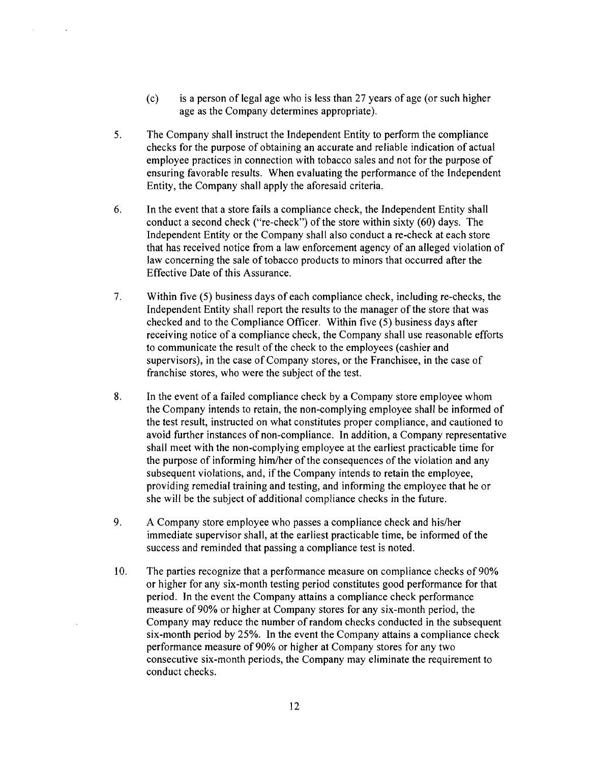- (c) is a person of legal age who is less than 27 years of age (or such higher age as the Company determines appropriate).
- 5. The Company shall instruct the Independent Entity to perform the compliance checks for the purpose of obtaining an accurate and reliable indication of actual employee practices in connection with tobacco sales and not for the purpose of ensuring favorable results. When evaluating the performance of the Independent Entity, the Company shall apply the aforesaid criteria.
- 6. In the event that a store fails a compliance check, the Independent Entity shall conduct a second check ("re-check") of the store within sixty (60) days. The Independent Entity or the Company shall also conduct a re-check at each store that has received notice from a law enforcement agency of an alleged violation of law concerning the sale of tobacco products to minors that occurred after the Effective Date of this Assurance.
- 7. Within five (5) business days of each compliance check, including re-checks, the Independent Entity shall report the results to the manager of the store that was checked and to the Compliance Officer. Within five (5) business days after receiving notice of a compliance check, the Company shall use reasonable efforts to communicate the result of the check to the employees (cashier and supervisors), in the case of Company stores, or the Franchisee, in the case of franchise stores, who were the subject of the test.
- 8. In the event of a failed compliance check by a Company store employee whom the Company intends to retain, the non-complying employee shall be informed of the test result, instructed on what constitutes proper compliance, and cautioned to avoid further instances of non-compliance. In addition, a Company representative shall meet with the non-complying employee at the earliest practicable time for the purpose of informing him/her of the consequences of the violation and any subsequent violations, and, if the Company intends to retain the employee, providing remedial training and testing, and informing the employee that he or she will be the subject of additional compliance checks in the future.
- 9. A Company store employee who passes a compliance check and his/her immediate supervisor shall, at the earliest practicable time, be informed of the success and reminded that passing a compliance test is noted.
- 10. The parties recognize that a performance measure on compliance checks of 90% or higher for any six-month testing period constitutes good performance for that period. In the event the Company attains a compliance check performance measure of 90% or higher at Company stores for any six-month period, the Company may reduce the number of random checks conducted in the subsequent six-month period by 25%. In the event the Company attains a compliance check performance measure of 90% or higher at Company stores for any two consecutive six-month periods, the Company may eliminate the requirement to conduct checks.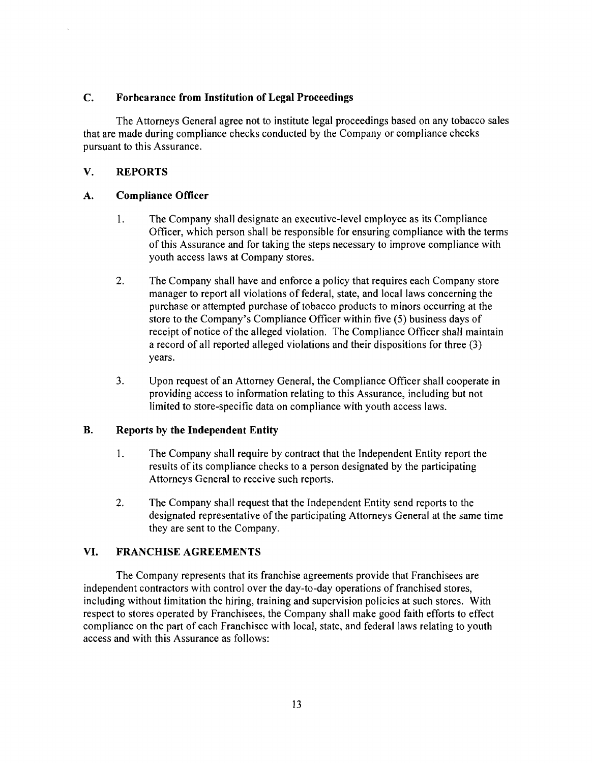## C. Forbearance from Institution of Legal Proceedings

The Attorneys General agree not to institute legal proceedings based on any tobacco sales that are made during compliance checks conducted by the Company or compliance checks pursuant to this Assurance.

# V. REPORTS

### A. Compliance Officer

- 1. The Company shall designate an executive-level employee as its Compliance Officer, which person shall be responsible for ensuring compliance with the terms of this Assurance and for taking the steps necessary to improve compliance with youth access laws at Company stores.
- 2. The Company shall have and enforce a policy that requires each Company store manager to report all violations of federal, state, and local laws concerning the purchase or attempted purchase of tobacco products to minors occurring at the store to the Company's Compliance Officer within five (5) business days of receipt of notice of the alleged violation. The Compliance Officer shall maintain a record of all reported alleged violations and their dispositions for three (3) years.
- 3. Upon request of an Attorney General, the Compliance Officer shall cooperate in providing access to information relating to this Assurance, including but not limited to store-specific data on compliance with youth access laws.

# B. Reports by the Independent Entity

- 1. The Company shall require by contract that the Independent Entity report the results of its compliance checks to a person designated by the participating Attorneys General to receive such reports.
- 2. The Company shall request that the Independent Entity send reports to the designated representative of the participating Attorneys General at the same time they are sent to the Company.

# VI. FRANCHISE AGREEMENTS

The Company represents that its franchise agreements provide that Franchisees are independent contractors with control over the day-to-day operations of franchised stores, including without limitation the hiring, training and supervision policies at such stores. With respect to stores operated by Franchisees, the Company shall make good faith efforts to effect compliance on the part of each Franchisee with local, state, and federal laws relating to youth access and with this Assurance as follows: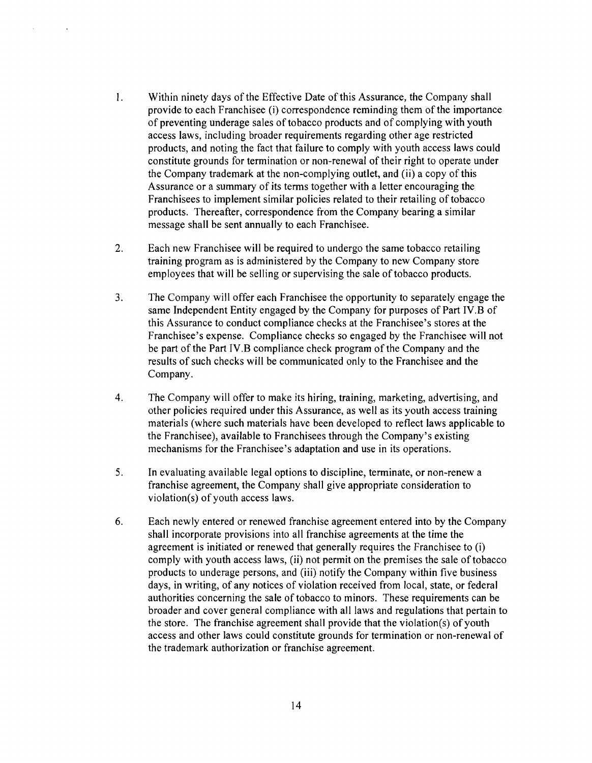- I. Within ninety days of the Effective Date of this Assurance, the Company shall provide to each Franchisee (i) correspondence reminding them of the importance of preventing underage sales of tobacco products and of complying with youth access laws, including broader requirements regarding other age restricted products, and noting the fact that failure to comply with youth access laws could constitute grounds for termination or non-renewal of their right to operate under the Company trademark at the non-complying outlet, and (ii) a copy of this Assurance or a summary of its terms together with a letter encouraging the Franchisees to implement similar policies related to their retailing of tobacco products. Thereafter, correspondence from the Company bearing a similar message shall be sent annually to each Franchisee.
- 2. Each new Franchisee will be required to undergo the same tobacco retailing training program as is administered by the Company to new Company store employees that will be selling or supervising the sale of tobacco products.
- 3. The Company will offer each Franchisee the opportunity to separately engage the same Independent Entity engaged by the Company for purposes of Part IV.B of this Assurance to conduct compliance checks at the Franchisee's stores at the Franchisee's expense. Compliance checks so engaged by the Franchisee will not be part of the Part IV.B compliance check program of the Company and the results of such checks will be communicated only to the Franchisee and the Company.
- 4. The Company will offer to make its hiring, training, marketing, advertising, and other policies required under this Assurance, as well as its youth access training materials (where such materials have been developed to reflect laws applicable to the Franchisee), available to Franchisees through the Company's existing mechanisms for the Franchisee's adaptation and use in its operations.
- 5. In evaluating available legal options to discipline, terminate, or non-renew a franchise agreement, the Company shall give appropriate consideration to violation(s) of youth access laws.
- 6. Each newly entered or renewed franchise agreement entered into by the Company shall incorporate provisions into all franchise agreements at the time the agreement is initiated or renewed that generally requires the Franchisee to (i) comply with youth access laws, (ii) not permit on the premises the sale of tobacco products to underage persons, and (iii) notify the Company within five business days, in writing, of any notices of violation received from local, state, or federal authorities concerning the sale of tobacco to minors. These requirements can be broader and cover general compliance with all laws and regulations that pertain to the store. The franchise agreement shall provide that the violation(s) of youth access and other laws could constitute grounds for termination or non-renewal of the trademark authorization or franchise agreement.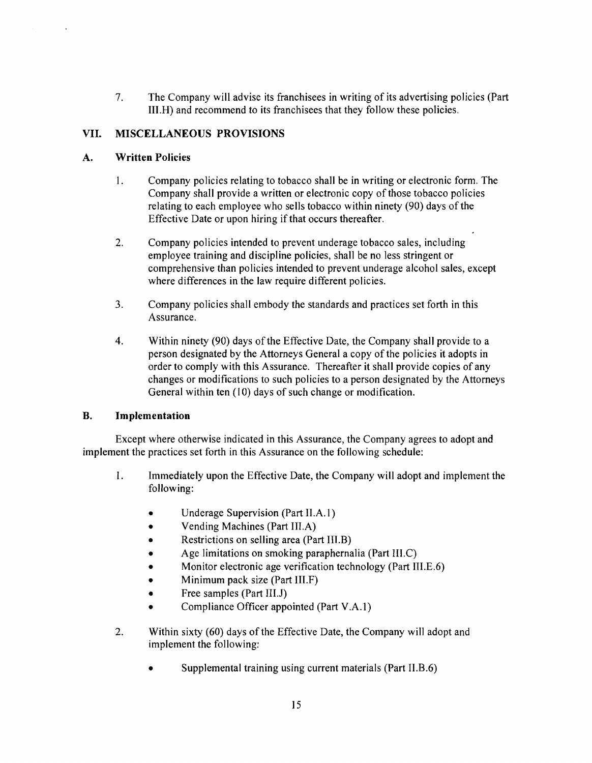7. The Company will advise its franchisees in writing of its advertising policies (Part III.H) and recommend to its franchisees that they follow these policies.

# VII. MISCELLANEOUS PROVISIONS

# A. Written Policies

- 1. Company policies relating to tobacco shall be in writing or electronic form. The Company shall provide a written or electronic copy of those tobacco policies relating to each employee who sells tobacco within ninety (90) days of the Effective Date or upon hiring if that occurs thereafter.
- 2. Company policies intended to prevent underage tobacco sales, including employee training and discipline policies, shall be no less stringent or comprehensive than policies intended to prevent underage alcohol sales, except where differences in the law require different policies.
- 3. Company policies shall embody the standards and practices set forth in this Assurance.
- 4. Within ninety (90) days of the Effective Date, the Company shall provide to a person designated by the Attorneys General a copy of the policies it adopts in order to comply with this Assurance. Thereafter it shall provide copies of any changes or modifications to such policies to a person designated by the Attorneys General within ten (l0) days of such change or modification.

# B. Implementation

Except where otherwise indicated in this Assurance, the Company agrees to adopt and implement the practices set forth in this Assurance on the following schedule:

- 1. Immediately upon the Effective Date, the Company will adopt and implement the following:
	- Underage Supervision (Part II.A.1)
	- Vending Machines (Part III.A)
	- Restrictions on selling area (Part III.B)
	- Age limitations on smoking paraphernalia (Part III.C)
	- Monitor electronic age verification technology (Part III.E.6)
	- Minimum pack size (Part III.F)
	- Free samples (Part III.J)
	- Compliance Officer appointed (Part V.A.1)
- 2. Within sixty (60) days of the Effective Date, the Company will adopt and implement the following:
	- Supplemental training using current materials (Part II.B.6)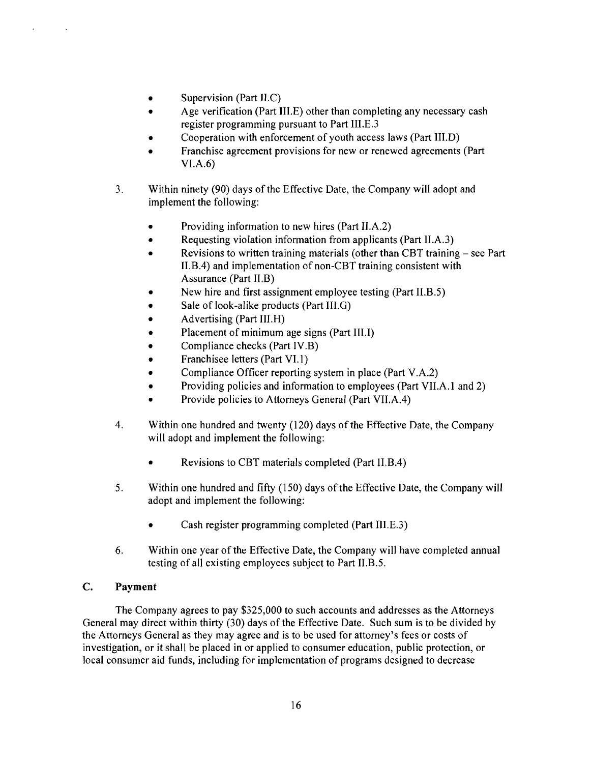- Supervision (Part II.C)
- Age verification (Part III.E) other than completing any necessary cash register programming pursuant to Part III.E.3
- Cooperation with enforcement of youth access laws (Part III.D)
- Franchise agreement provisions for new or renewed agreements (Part) VI.A.6)
- 3. Within ninety (90) days of the Effective Date, the Company will adopt and implement the following:
	- Providing information to new hires (Part II.A.2)
	- Requesting violation information from applicants (Part II.A.3)
	- Revisions to written training materials (other than CBT training  $-$  see Part II.B.4) and implementation of non-CBT training consistent with Assurance (Part II.B)
	- New hire and first assignment employee testing (Part II.B.5)
	- Sale of look-alike products (Part III.G)
	- Advertising (Part III.H)
	- Placement of minimum age signs (Part III.I)
	- Compliance checks (Part IV.B)
	- Franchisee letters (Part VI.1)
	- Compliance Officer reporting system in place (Part V.A.2)
	- Providing policies and information to employees (Part VII.A.1 and 2)
	- Provide policies to Attorneys General (Part VII.A.4)
- 4. Within one hundred and twenty (120) days of the Effective Date, the Company will adopt and implement the following:
	- Revisions to CBT materials completed (Part II.B.4)
- 5. Within one hundred and fifty (150) days of the Effective Date, the Company will adopt and implement the following:
	- Cash register programming completed (Part III.E.3)
- 6. Within one year of the Effective Date, the Company will have completed annual testing of all existing employees subject to Part II.B.5.

# C. **Payment**

The Company agrees to pay \$325,000 to such accounts and addresses as the Attorneys General may direct within thirty (30) days of the Effective Date. Such sum is to be divided by the Attorneys General as they may agree and is to be used for attorney's fees or costs of investigation, or it shall be placed in or applied to consumer education, public protection, or local consumer aid funds, including for implementation of programs designed to decrease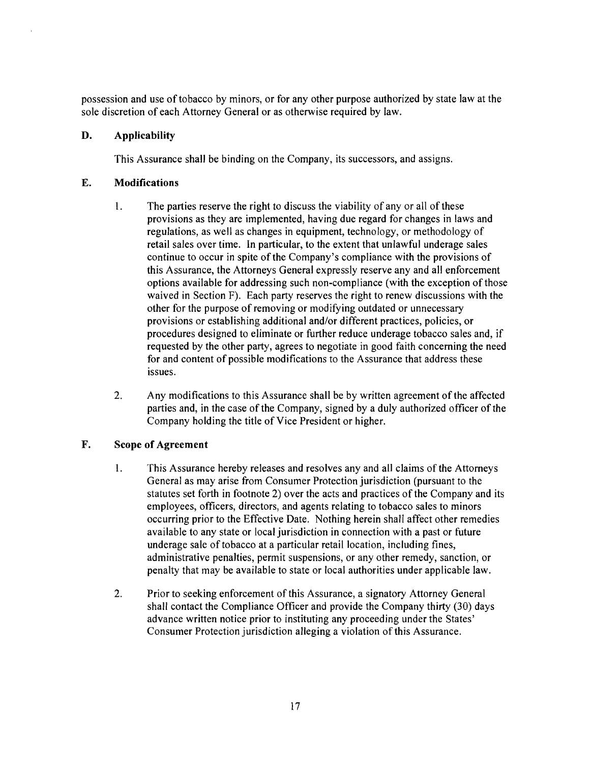possession and use oftobacco by minors, or for any other purpose authorized by state law at the sole discretion of each Attorney General or as otherwise required by law.

# D. Applicability

This Assurance shall be binding on the Company, its successors, and assigns.

### E. Modifications

- 1. The parties reserve the right to discuss the viability of any or all of these provisions as they are implemented, having due regard for changes in laws and regulations, as well as changes in equipment, technology, or methodology of retail sales over time. In particular, to the extent that unlawful underage sales continue to occur in spite of the Company's compliance with the provisions of this Assurance, the Attorneys General expressly reserve any and all enforcement options available for addressing such non-compliance (with the exception of those waived in Section F). Each party reserves the right to renew discussions with the other for the purpose of removing or modifying outdated or unnecessary provisions or establishing additional and/or different practices, policies, or procedures designed to eliminate or further reduce underage tobacco sales and, if requested by the other party, agrees to negotiate in good faith concerning the need for and content of possible modifications to the Assurance that address these issues.
- 2. Any modifications to this Assurance shall be by written agreement of the affected parties and, in the case of the Company, signed by a duly authorized officer of the Company holding the title of Vice President or higher.

# F. Scope of Agreement

- 1. This Assurance hereby releases and resolves any and all claims of the Attorneys General as may arise from Consumer Protection jurisdiction (pursuant to the statutes set forth in footnote 2) over the acts and practices of the Company and its employees, officers, directors, and agents relating to tobacco sales to minors occurring prior to the Effective Date. Nothing herein shall affect other remedies available to any state or local jurisdiction in connection with a past or future underage sale of tobacco at a particular retail location, including fines, administrative penalties, permit suspensions, or any other remedy, sanction, or penalty that may be available to state or local authorities under applicable law.
- 2. Prior to seeking enforcement of this Assurance, a signatory Attorney General shall contact the Compliance Officer and provide the Company thirty (30) days advance written notice prior to instituting any proceeding under the States' Consumer Protection jurisdiction alleging a violation of this Assurance.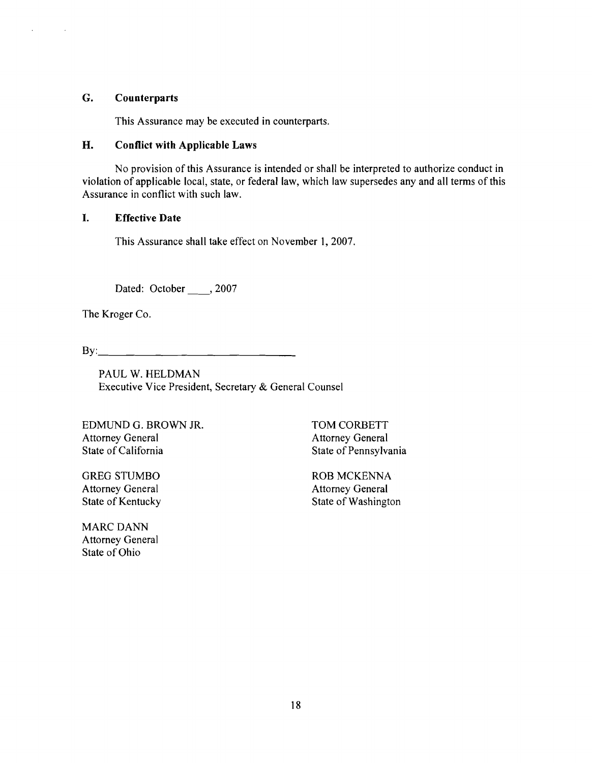### G. Counterparts

 $\bar{z}$ 

 $\sim$  .

This Assurance may be executed in counterparts.

# H. Conflict with Applicable Laws

No provision of this Assurance is intended or shall be interpreted to authorize conduct in violation of applicable local, state, or federal law, which law supersedes any and all terms of this Assurance in conflict with such law.

#### I. Effective Date

This Assurance shall take effect on November 1,2007.

Dated: October , 2007

The Kroger Co.

 $\mathbf{B} \mathbf{y}$ :

PAUL W. HELDMAN Executive Vice President, Secretary & General Counsel

EDMUND G. BROWN JR. TOM CORBETT Attorney General Attorney General<br>
State of California State of Pennsylva

**MARC DANN** Attorney General State of Ohio

State of Pennsylvania

GREG STUMBO<br>
Attorney General<br>
Attorney General<br>
Attorney General **Attorney General** State of Kentucky State of Washington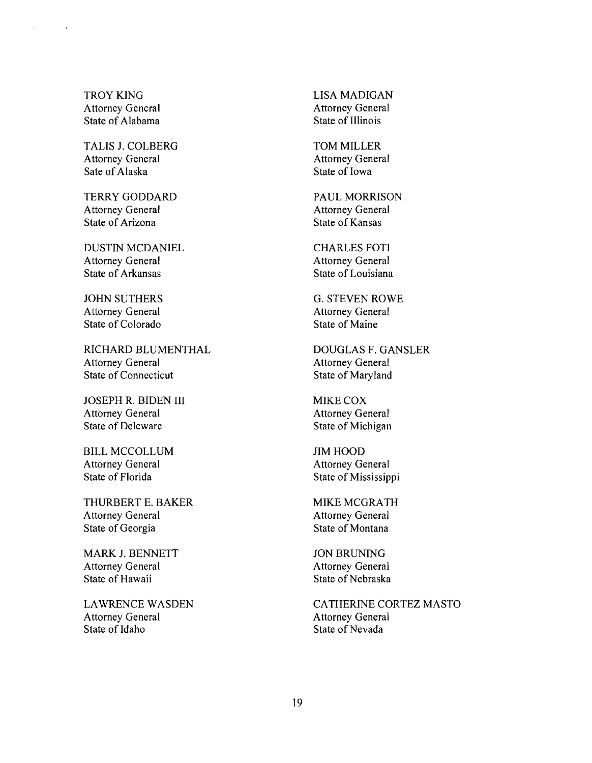TROY KING Attorney General State of Alabama

TALIS J. COLBERG Attorney General Sate of Alaska

TERRY GODDARD Attorney General State of Arizona

DUSTIN MCDANIEL Attorney General State of Arkansas

JOHN SUTHERS Attorney General State of Colorado

RICHARD BLUMENTHAL Attorney General State of Connecticut

JOSEPH R. BIDEN III Attorney General State of Deleware

BILL MCCOLLUM Attorney General State of Florida

THURBERT E. BAKER Attorney General State of Georgia

MARK J. BENNETT Attorney General State of Hawaii

LAWRENCE WASDEN Attorney General State of Idaho

LISA MADIGAN Attorney General State of Illinois

TOM MILLER Attorney General State of Iowa

PAUL MORRISON Attorney General State of Kansas

CHARLES FOTI Attorney General State of Louisiana

G. STEVEN ROWE Attorney General State of Maine

DOUGLAS F. GANSLER Attorney General State of Maryland

MIKE COX Attorney General State of Michigan

JIM HOOD Attorney General State of Mississippi

MIKE MCGRATH Attorney General State of Montana

JON BRUNING Attorney General State of Nebraska

CATHERINE CORTEZ MASTO Attorney General State of Nevada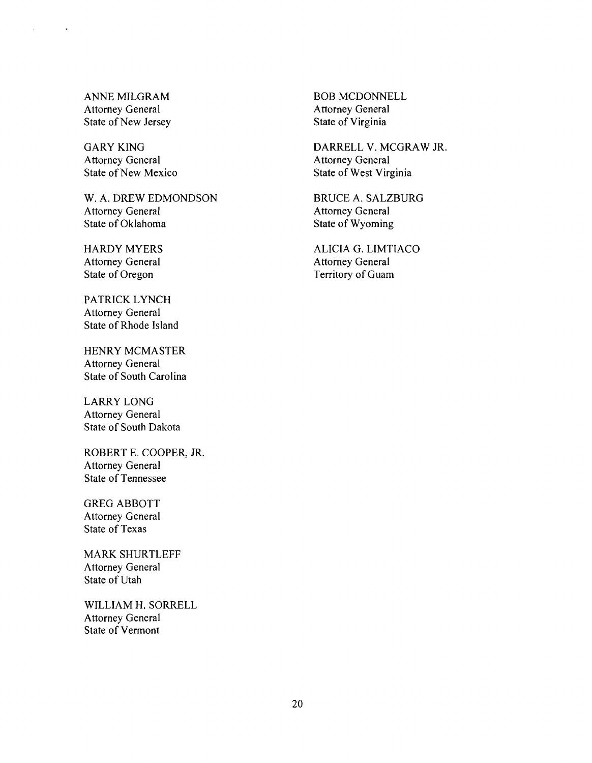ANNE MILGRAM Attorney General State of New Jersey

 $\ddot{\phantom{0}}$ 

GARY KING Attorney General State of New Mexico

W. A. DREW EDMONDSON Attorney General State of Oklahoma

HARDY MYERS Attorney General State of Oregon

PATRICK LYNCH Attorney General State of Rhode Island

HENRY MCMASTER Attorney General State of South Carolina

LARRY LONG Attorney General State of South Dakota

ROBERT E. COOPER, JR. Attorney General State of Tennessee

GREG ABBOTT Attorney General State of Texas

MARK SHURTLEFF Attorney General State of Utah

WILLIAM H. SORRELL Attorney General State of Vermont

BOB MCDONNELL Attorney General State of Virginia

DARRELL V. MCGRAW JR. Attorney General State of West Virginia

BRUCE A. SALZBURG Attorney General State of Wyoming

ALICIA G. LIMTIACO Attorney General Territory of Guam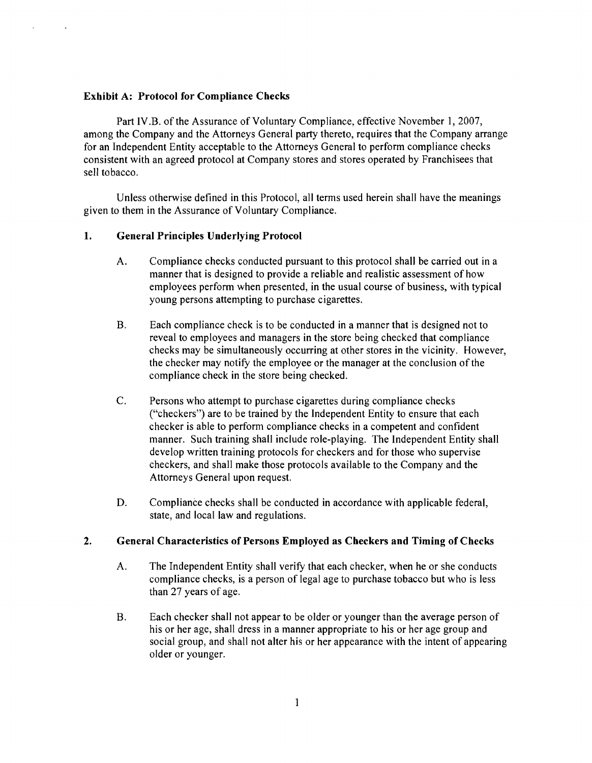#### Exhibit A: Protocol for Compliance Checks

Part IV.B. of the Assurance of Voluntary Compliance, effective November 1, 2007, among the Company and the Attorneys General party thereto, requires that the Company arrange for an Independent Entity acceptable to the Attorneys General to perform compliance checks consistent with an agreed protocol at Company stores and stores operated by Franchisees that sell tobacco.

Unless otherwise defined in this Protocol, all terms used herein shall have the meanings given to them in the Assurance of Voluntary Compliance.

### 1. General Principles Underlying Protocol

- A. Compliance checks conducted pursuant to this protocol shall be carried out in a manner that is designed to provide a reliable and realistic assessment of how employees perform when presented, in the usual course of business, with typical young persons attempting to purchase cigarettes.
- B. Each compliance check is to be conducted in a manner that is designed not to reveal to employees and managers in the store being checked that compliance checks may be simultaneously occurring at other stores in the vicinity. However, the checker may notify the employee or the manager at the conclusion of the compliance check in the store being checked.
- C. Persons who attempt to purchase cigarettes during compliance checks ("checkers") are to be trained by the Independent Entity to ensure that each checker is able to perform compliance checks in a competent and confident manner. Such training shall include role-playing. The Independent Entity shall develop written training protocols for checkers and for those who supervise checkers, and shall make those protocols available to the Company and the Attorneys General upon request.
- D. Compliance checks shall be conducted in accordance with applicable federal, state, and local law and regulations.

### 2. General Characteristics of Persons Employed as Checkers and Timing of Checks

- A. The Independent Entity shall verify that each checker, when he or she conducts compliance checks, is a person of legal age to purchase tobacco but who is less than 27 years of age.
- B. Each checker shall not appear to be older or younger than the average person of his or her age, shall dress in a manner appropriate to his or her age group and social group, and shall not alter his or her appearance with the intent of appearing older or younger.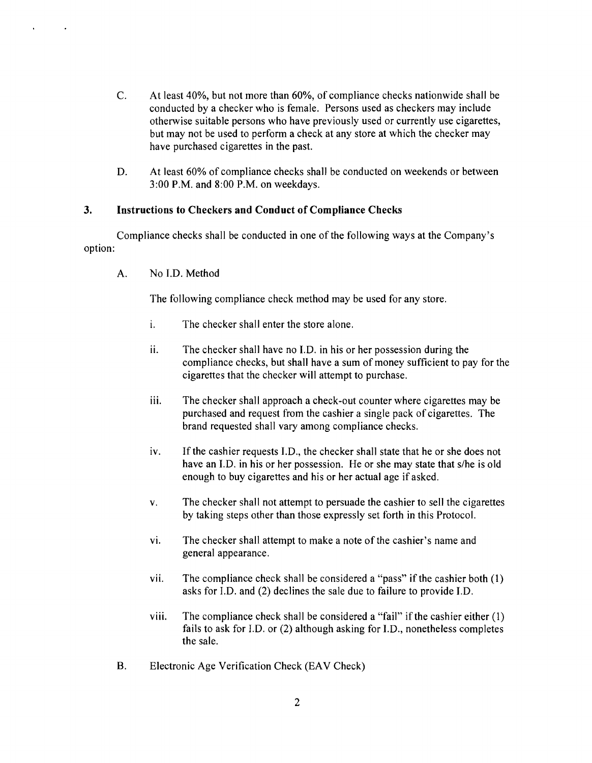- C. At least 40%, but not more than 60%, of compliance checks nationwide shall be conducted by a checker who is female. Persons used as checkers may include otherwise suitable persons who have previously used or currently use cigarettes, but may not be used to perform a check at any store at which the checker may have purchased cigarettes in the past.
- D. At least 60% of compliance checks shall be conducted on weekends or between 3:00 P.M. and 8:00 P.M. on weekdays.

### 3. Instructions to Checkers and Conduct of Compliance Checks

Compliance checks shall be conducted in one of the following ways at the Company's option:

A. No I.D. Method

The following compliance check method may be used for any store.

- i. The checker shall enter the store alone.
- ii. The checker shall have no I.D. in his or her possession during the compliance checks, but shall have a sum of money sufficient to pay for the cigarettes that the checker will attempt to purchase.
- iii. The checker shall approach a check-out counter where cigarettes may be purchased and request from the cashier a single pack of cigarettes. The brand requested shall vary among compliance checks.
- iv. If the cashier requests I.D., the checker shall state that he or she does not have an J.D. in his or her possession. He or she may state that s/he is old enough to buy cigarettes and his or her actual age if asked.
- v. The checker shall not attempt to persuade the cashier to sell the cigarettes by taking steps other than those expressly set forth in this Protocol.
- vi. The checker shall attempt to make a note of the cashier's name and general appearance.
- vii. The compliance check shall be considered a "pass" if the cashier both  $(1)$ asks for J.D. and (2) declines the sale due to failure to provide J.D.
- viii. The compliance check shall be considered a "fail" if the cashier either  $(1)$ fails to ask for I.D. or (2) although asking for I.D., nonetheless completes the sale.
- B. Electronic Age Verification Check (EAV Check)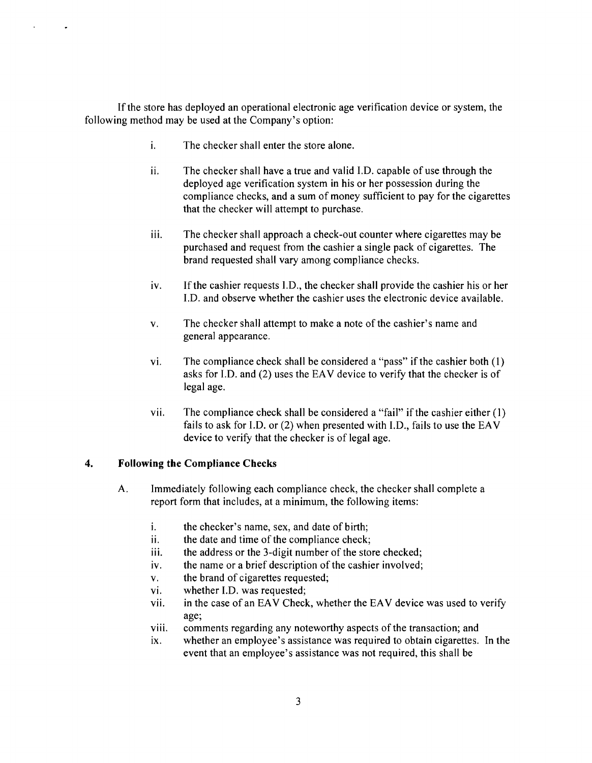If the store has deployed an operational electronic age verification device or system, the following method may be used at the Company's option:

- i. The checker shall enter the store alone.
- $i$ . The checker shall have a true and valid I.D. capable of use through the deployed age verification system in his or her possession during the compliance checks, and a sum of money sufficient to pay for the cigarettes that the checker will attempt to purchase.
- iii. The checker shall approach a check-out counter where cigarettes may be purchased and request from the cashier a single pack of cigarettes. The brand requested shall vary among compliance checks.
- iv. If the cashier requests I.D., the checker shall provide the cashier his or her I.D. and observe whether the cashier uses the electronic device available.
- v. The checker shall attempt to make a note of the cashier's name and general appearance.
- vi. The compliance check shall be considered a "pass" if the cashier both  $(1)$ asks for I.D. and (2) uses the EAV device to verify that the checker is of legal age.
- vii. The compliance check shall be considered a "fail" if the cashier either  $(1)$ fails to ask for I.D. or (2) when presented with I.D., fails to use the EAV device to verify that the checker is of legal age.

### 4. Following the Compliance Checks

 $\ddot{\phantom{a}}$ 

- A. Immediately following each compliance check, the checker shall complete a report form that includes, at a minimum, the following items:
	- i. the checker's name, sex, and date of birth;
	- ii. the date and time of the compliance check;
	- iii. the address or the 3-digit number of the store checked;
	- iv. the name or a brief description of the cashier involved;
	- v. the brand of cigarettes requested;
	- vi. whether I.D. was requested;
	- vii. in the case of an EAV Check, whether the EAV device was used to verify age;
	- viii. comments regarding any noteworthy aspects of the transaction; and
	- ix. whether an employee's assistance was required to obtain cigarettes. In the event that an employee's assistance was not required, this shall be